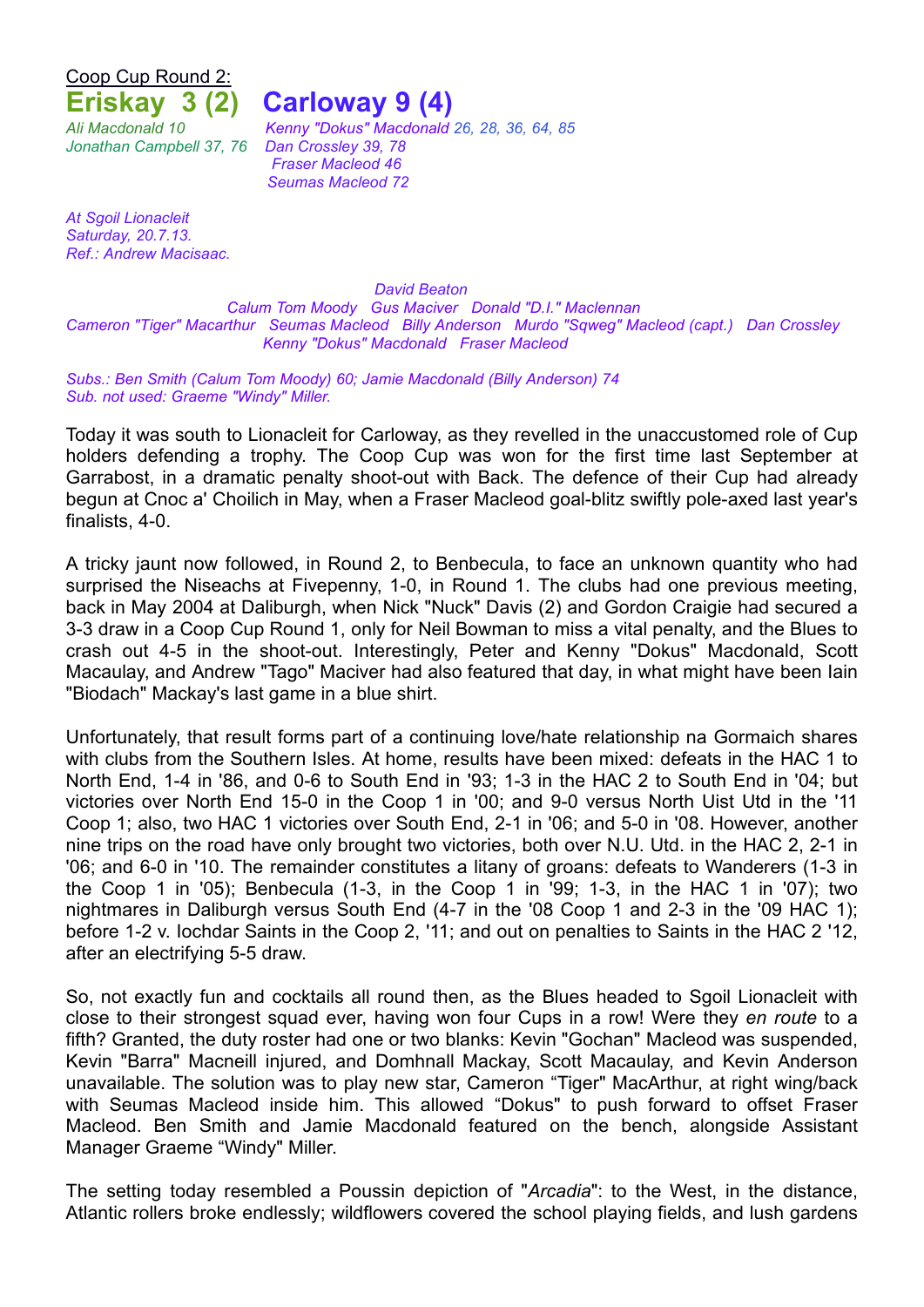Coop Cup Round 2:

**Eriskay 3 (2) Carloway 9 (4)**

*Jonathan Campbell 37, 76 Dan Crossley 39, 78*

*Ali Macdonald 10 Kenny "Dokus" Macdonald 26, 28, 36, 64, 85 Fraser Macleod 46 Seumas Macleod 72*

*At Sgoil Lionacleit Saturday, 20.7.13. Ref.: Andrew Macisaac.*

*David Beaton*

*Calum Tom Moody Gus Maciver Donald "D.I." Maclennan Cameron "Tiger" Macarthur Seumas Macleod Billy Anderson Murdo "Sqweg" Macleod (capt.) Dan Crossley Kenny "Dokus" Macdonald Fraser Macleod*

*Subs.: Ben Smith (Calum Tom Moody) 60; Jamie Macdonald (Billy Anderson) 74 Sub. not used: Graeme "Windy" Miller.*

Today it was south to Lionacleit for Carloway, as they revelled in the unaccustomed role of Cup holders defending a trophy. The Coop Cup was won for the first time last September at Garrabost, in a dramatic penalty shoot-out with Back. The defence of their Cup had already begun at Cnoc a' Choilich in May, when a Fraser Macleod goal-blitz swiftly pole-axed last year's finalists, 4-0.

A tricky jaunt now followed, in Round 2, to Benbecula, to face an unknown quantity who had surprised the Niseachs at Fivepenny, 1-0, in Round 1. The clubs had one previous meeting, back in May 2004 at Daliburgh, when Nick "Nuck" Davis (2) and Gordon Craigie had secured a 3-3 draw in a Coop Cup Round 1, only for Neil Bowman to miss a vital penalty, and the Blues to crash out 4-5 in the shoot-out. Interestingly, Peter and Kenny "Dokus" Macdonald, Scott Macaulay, and Andrew "Tago" Maciver had also featured that day, in what might have been Iain "Biodach" Mackay's last game in a blue shirt.

Unfortunately, that result forms part of a continuing love/hate relationship na Gormaich shares with clubs from the Southern Isles. At home, results have been mixed: defeats in the HAC 1 to North End, 1-4 in '86, and 0-6 to South End in '93; 1-3 in the HAC 2 to South End in '04; but victories over North End 15-0 in the Coop 1 in '00; and 9-0 versus North Uist Utd in the '11 Coop 1; also, two HAC 1 victories over South End, 2-1 in '06; and 5-0 in '08. However, another nine trips on the road have only brought two victories, both over N.U. Utd. in the HAC 2, 2-1 in '06; and 6-0 in '10. The remainder constitutes a litany of groans: defeats to Wanderers (1-3 in the Coop 1 in '05); Benbecula (1-3, in the Coop 1 in '99; 1-3, in the HAC 1 in '07); two nightmares in Daliburgh versus South End (4-7 in the '08 Coop 1 and 2-3 in the '09 HAC 1); before 1-2 v. Iochdar Saints in the Coop 2, '11; and out on penalties to Saints in the HAC 2 '12, after an electrifying 5-5 draw.

So, not exactly fun and cocktails all round then, as the Blues headed to Sgoil Lionacleit with close to their strongest squad ever, having won four Cups in a row! Were they *en route* to a fifth? Granted, the duty roster had one or two blanks: Kevin "Gochan" Macleod was suspended, Kevin "Barra" Macneill injured, and Domhnall Mackay, Scott Macaulay, and Kevin Anderson unavailable. The solution was to play new star, Cameron "Tiger" MacArthur, at right wing/back with Seumas Macleod inside him. This allowed "Dokus" to push forward to offset Fraser Macleod. Ben Smith and Jamie Macdonald featured on the bench, alongside Assistant Manager Graeme "Windy" Miller.

The setting today resembled a Poussin depiction of "*Arcadia*": to the West, in the distance, Atlantic rollers broke endlessly; wildflowers covered the school playing fields, and lush gardens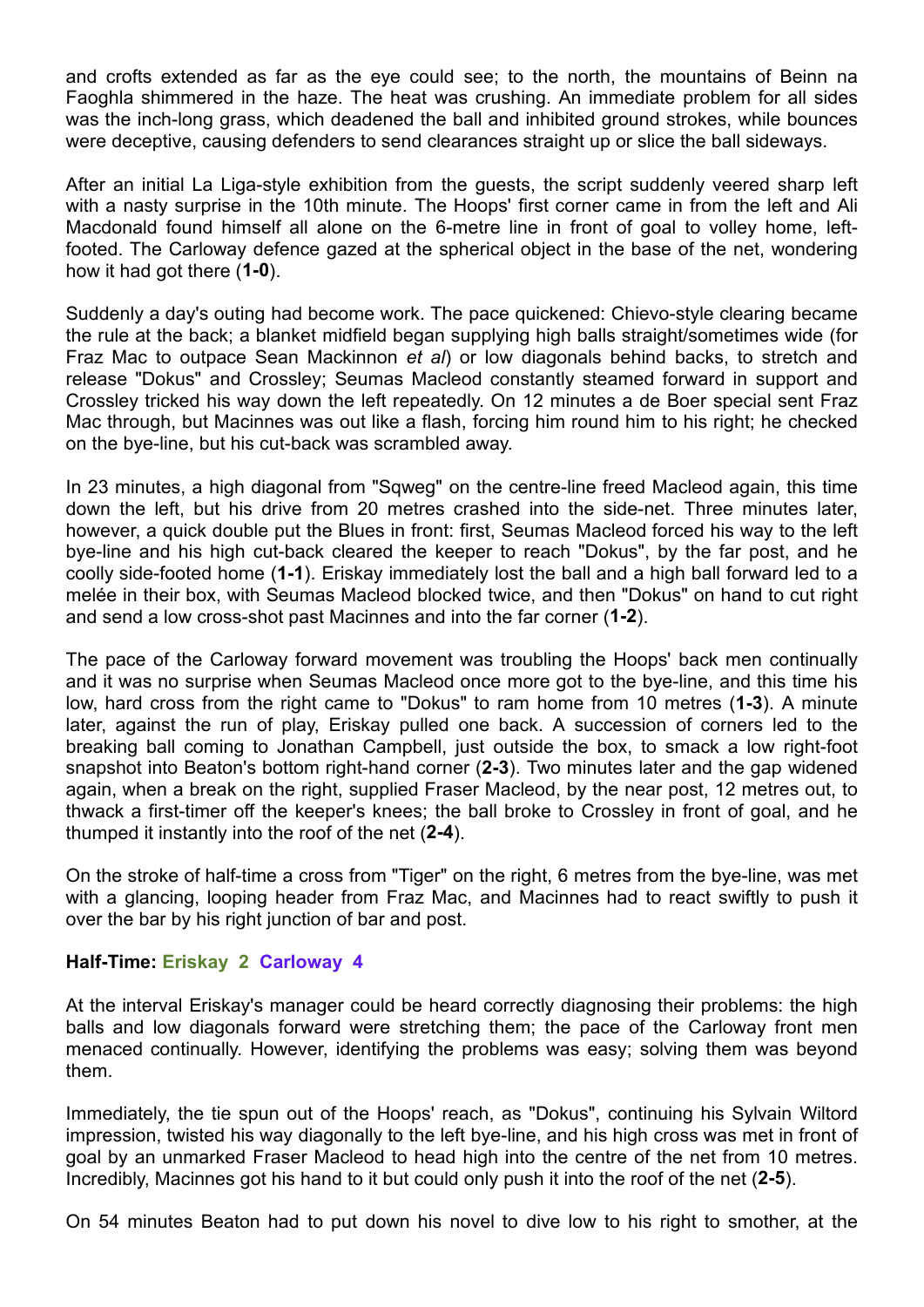and crofts extended as far as the eye could see; to the north, the mountains of Beinn na Faoghla shimmered in the haze. The heat was crushing. An immediate problem for all sides was the inch-long grass, which deadened the ball and inhibited ground strokes, while bounces were deceptive, causing defenders to send clearances straight up or slice the ball sideways.

After an initial La Liga-style exhibition from the guests, the script suddenly veered sharp left with a nasty surprise in the 10th minute. The Hoops' first corner came in from the left and Ali Macdonald found himself all alone on the 6-metre line in front of goal to volley home, leftfooted. The Carloway defence gazed at the spherical object in the base of the net, wondering how it had got there (**1-0**).

Suddenly a day's outing had become work. The pace quickened: Chievo-style clearing became the rule at the back; a blanket midfield began supplying high balls straight/sometimes wide (for Fraz Mac to outpace Sean Mackinnon *et al*) or low diagonals behind backs, to stretch and release "Dokus" and Crossley; Seumas Macleod constantly steamed forward in support and Crossley tricked his way down the left repeatedly. On 12 minutes a de Boer special sent Fraz Mac through, but Macinnes was out like a flash, forcing him round him to his right; he checked on the bye-line, but his cut-back was scrambled away.

In 23 minutes, a high diagonal from "Sqweg" on the centre-line freed Macleod again, this time down the left, but his drive from 20 metres crashed into the side-net. Three minutes later, however, a quick double put the Blues in front: first, Seumas Macleod forced his way to the left bye-line and his high cut-back cleared the keeper to reach "Dokus", by the far post, and he coolly side-footed home (**1-1**). Eriskay immediately lost the ball and a high ball forward led to a melée in their box, with Seumas Macleod blocked twice, and then "Dokus" on hand to cut right and send a low cross-shot past Macinnes and into the far corner (**1-2**).

The pace of the Carloway forward movement was troubling the Hoops' back men continually and it was no surprise when Seumas Macleod once more got to the bye-line, and this time his low, hard cross from the right came to "Dokus" to ram home from 10 metres (**1-3**). A minute later, against the run of play, Eriskay pulled one back. A succession of corners led to the breaking ball coming to Jonathan Campbell, just outside the box, to smack a low right-foot snapshot into Beaton's bottom right-hand corner (**2-3**). Two minutes later and the gap widened again, when a break on the right, supplied Fraser Macleod, by the near post, 12 metres out, to thwack a first-timer off the keeper's knees; the ball broke to Crossley in front of goal, and he thumped it instantly into the roof of the net (**2-4**).

On the stroke of half-time a cross from "Tiger" on the right, 6 metres from the bye-line, was met with a glancing, looping header from Fraz Mac, and Macinnes had to react swiftly to push it over the bar by his right junction of bar and post.

## **Half-Time: Eriskay 2 Carloway 4**

At the interval Eriskay's manager could be heard correctly diagnosing their problems: the high balls and low diagonals forward were stretching them; the pace of the Carloway front men menaced continually. However, identifying the problems was easy; solving them was beyond them.

Immediately, the tie spun out of the Hoops' reach, as "Dokus", continuing his Sylvain Wiltord impression, twisted his way diagonally to the left bye-line, and his high cross was met in front of goal by an unmarked Fraser Macleod to head high into the centre of the net from 10 metres. Incredibly, Macinnes got his hand to it but could only push it into the roof of the net (**2-5**).

On 54 minutes Beaton had to put down his novel to dive low to his right to smother, at the